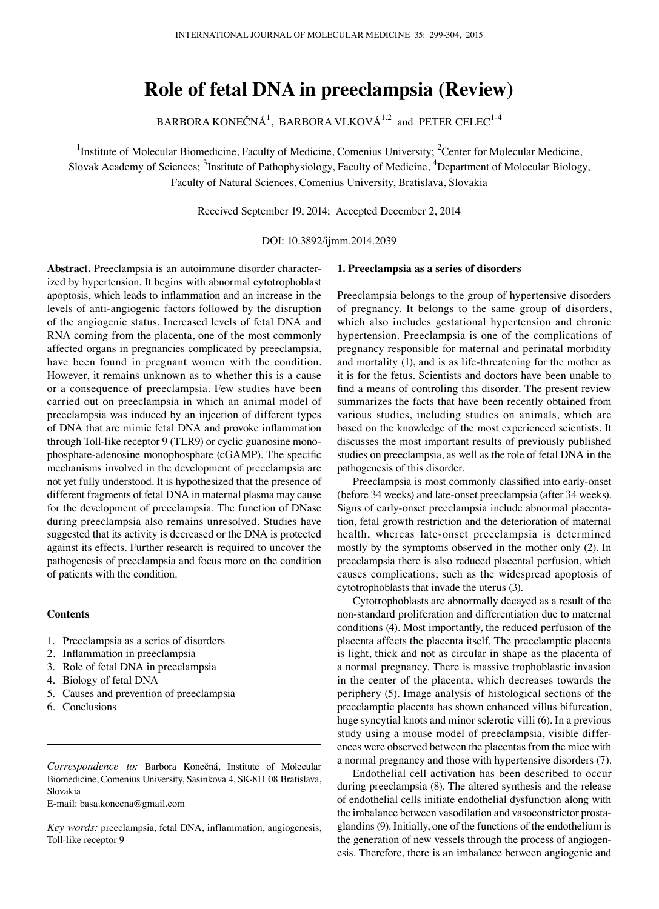# **Role of fetal DNA in preeclampsia (Review)**

BARBORA KONEČNÁ $^1$ , BARBORA VLKOVÁ $^{1,2}$  and PETER CELEC $^{1\text{-}4}$ 

<sup>1</sup>Institute of Molecular Biomedicine, Faculty of Medicine, Comenius University; <sup>2</sup>Center for Molecular Medicine, Slovak Academy of Sciences; <sup>3</sup>Institute of Pathophysiology, Faculty of Medicine, <sup>4</sup>Department of Molecular Biology, Faculty of Natural Sciences, Comenius University, Bratislava, Slovakia

Received September 19, 2014; Accepted December 2, 2014

DOI: 10.3892/ijmm.2014.2039

**Abstract.** Preeclampsia is an autoimmune disorder characterized by hypertension. It begins with abnormal cytotrophoblast apoptosis, which leads to inflammation and an increase in the levels of anti-angiogenic factors followed by the disruption of the angiogenic status. Increased levels of fetal DNA and RNA coming from the placenta, one of the most commonly affected organs in pregnancies complicated by preeclampsia, have been found in pregnant women with the condition. However, it remains unknown as to whether this is a cause or a consequence of preeclampsia. Few studies have been carried out on preeclampsia in which an animal model of preeclampsia was induced by an injection of different types of DNA that are mimic fetal DNA and provoke inflammation through Toll-like receptor 9 (TLR9) or cyclic guanosine monophosphate-adenosine monophosphate (cGAMP). The specific mechanisms involved in the development of preeclampsia are not yet fully understood. It is hypothesized that the presence of different fragments of fetal DNA in maternal plasma may cause for the development of preeclampsia. The function of DNase during preeclampsia also remains unresolved. Studies have suggested that its activity is decreased or the DNA is protected against its effects. Further research is required to uncover the pathogenesis of preeclampsia and focus more on the condition of patients with the condition.

# **Contents**

- 1. Preeclampsia as a series of disorders
- 2. Inflammation in preeclampsia
- 3. Role of fetal DNA in preeclampsia
- 4. Biology of fetal DNA
- 5. Causes and prevention of preeclampsia
- 6. Conclusions

*Correspondence to:* Barbora Konečná, Institute of Molecular Biomedicine, Comenius University, Sasinkova 4, SK-811 08 Bratislava, Slovakia

E-mail: basa.konecna@gmail.com

*Key words:* preeclampsia, fetal DNA, inflammation, angiogenesis, Toll-like receptor 9

# **1. Preeclampsia as a series of disorders**

Preeclampsia belongs to the group of hypertensive disorders of pregnancy. It belongs to the same group of disorders, which also includes gestational hypertension and chronic hypertension. Preeclampsia is one of the complications of pregnancy responsible for maternal and perinatal morbidity and mortality (1), and is as life-threatening for the mother as it is for the fetus. Scientists and doctors have been unable to find a means of controling this disorder. The present review summarizes the facts that have been recently obtained from various studies, including studies on animals, which are based on the knowledge of the most experienced scientists. It discusses the most important results of previously published studies on preeclampsia, as well as the role of fetal DNA in the pathogenesis of this disorder.

Preeclampsia is most commonly classified into early-onset (before 34 weeks) and late-onset preeclampsia (after 34 weeks). Signs of early-onset preeclampsia include abnormal placentation, fetal growth restriction and the deterioration of maternal health, whereas late-onset preeclampsia is determined mostly by the symptoms observed in the mother only (2). In preeclampsia there is also reduced placental perfusion, which causes complications, such as the widespread apoptosis of cytotrophoblasts that invade the uterus (3).

Cytotrophoblasts are abnormally decayed as a result of the non-standard proliferation and differentiation due to maternal conditions (4). Most importantly, the reduced perfusion of the placenta affects the placenta itself. The preeclamptic placenta is light, thick and not as circular in shape as the placenta of a normal pregnancy. There is massive trophoblastic invasion in the center of the placenta, which decreases towards the periphery (5). Image analysis of histological sections of the preeclamptic placenta has shown enhanced villus bifurcation, huge syncytial knots and minor sclerotic villi (6). In a previous study using a mouse model of preeclampsia, visible differences were observed between the placentas from the mice with a normal pregnancy and those with hypertensive disorders (7).

Endothelial cell activation has been described to occur during preeclampsia (8). The altered synthesis and the release of endothelial cells initiate endothelial dysfunction along with the imbalance between vasodilation and vasoconstrictor prostaglandins (9). Initially, one of the functions of the endothelium is the generation of new vessels through the process of angiogenesis. Therefore, there is an imbalance between angiogenic and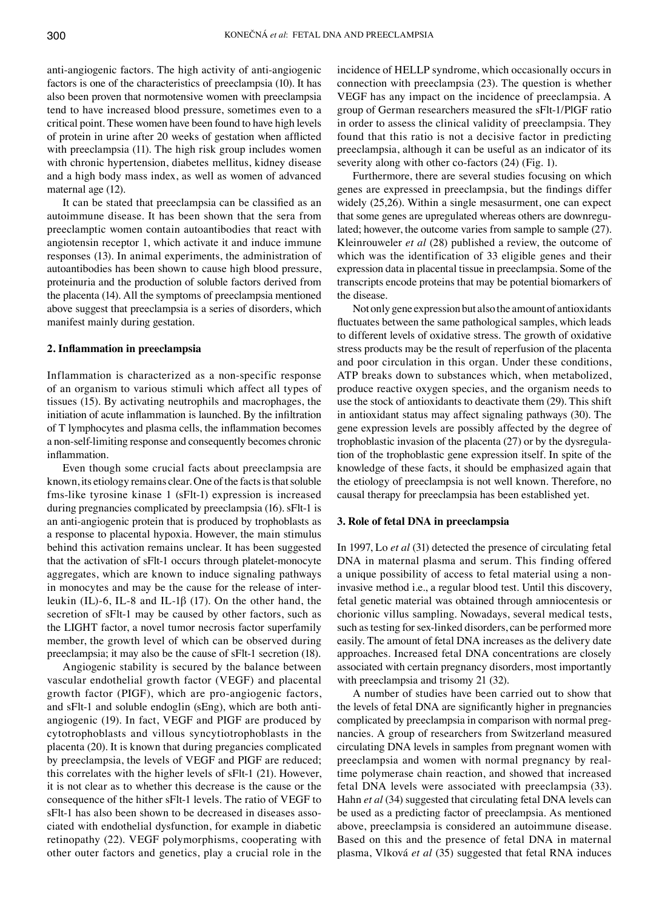anti-angiogenic factors. The high activity of anti-angiogenic factors is one of the characteristics of preeclampsia (10). It has also been proven that normotensive women with preeclampsia tend to have increased blood pressure, sometimes even to a critical point. These women have been found to have high levels of protein in urine after 20 weeks of gestation when afflicted with preeclampsia (11). The high risk group includes women with chronic hypertension, diabetes mellitus, kidney disease and a high body mass index, as well as women of advanced maternal age (12).

It can be stated that preeclampsia can be classified as an autoimmune disease. It has been shown that the sera from preeclamptic women contain autoantibodies that react with angiotensin receptor 1, which activate it and induce immune responses (13). In animal experiments, the administration of autoantibodies has been shown to cause high blood pressure, proteinuria and the production of soluble factors derived from the placenta (14). All the symptoms of preeclampsia mentioned above suggest that preeclampsia is a series of disorders, which manifest mainly during gestation.

# **2. Inflammation in preeclampsia**

Inflammation is characterized as a non-specific response of an organism to various stimuli which affect all types of tissues (15). By activating neutrophils and macrophages, the initiation of acute inflammation is launched. By the infiltration of T lymphocytes and plasma cells, the inflammation becomes a non-self-limiting response and consequently becomes chronic inflammation.

Even though some crucial facts about preeclampsia are known, its etiology remains clear. One of the facts is that soluble fms-like tyrosine kinase 1 (sFlt-1) expression is increased during pregnancies complicated by preeclampsia (16). sFlt-1 is an anti-angiogenic protein that is produced by trophoblasts as a response to placental hypoxia. However, the main stimulus behind this activation remains unclear. It has been suggested that the activation of sFlt-1 occurs through platelet-monocyte aggregates, which are known to induce signaling pathways in monocytes and may be the cause for the release of interleukin (IL)-6, IL-8 and IL-1β (17). On the other hand, the secretion of sFlt-1 may be caused by other factors, such as the LIGHT factor, a novel tumor necrosis factor superfamily member, the growth level of which can be observed during preeclampsia; it may also be the cause of sFlt-1 secretion (18).

Angiogenic stability is secured by the balance between vascular endothelial growth factor (VEGF) and placental growth factor (PIGF), which are pro-angiogenic factors, and sFlt-1 and soluble endoglin (sEng), which are both antiangiogenic (19). In fact, VEGF and PIGF are produced by cytotrophoblasts and villous syncytiotrophoblasts in the placenta (20). It is known that during pregancies complicated by preeclampsia, the levels of VEGF and PIGF are reduced; this correlates with the higher levels of sFlt-1 (21). However, it is not clear as to whether this decrease is the cause or the consequence of the hither sFlt-1 levels. The ratio of VEGF to sFlt-1 has also been shown to be decreased in diseases associated with endothelial dysfunction, for example in diabetic retinopathy (22). VEGF polymorphisms, cooperating with other outer factors and genetics, play a crucial role in the incidence of HELLP syndrome, which occasionally occurs in connection with preeclampsia (23). The question is whether VEGF has any impact on the incidence of preeclampsia. A group of German researchers measured the sFlt-1/PlGF ratio in order to assess the clinical validity of preeclampsia. They found that this ratio is not a decisive factor in predicting preeclampsia, although it can be useful as an indicator of its severity along with other co-factors (24) (Fig. 1).

Furthermore, there are several studies focusing on which genes are expressed in preeclampsia, but the findings differ widely (25,26). Within a single mesasurment, one can expect that some genes are upregulated whereas others are downregulated; however, the outcome varies from sample to sample (27). Kleinrouweler *et al* (28) published a review, the outcome of which was the identification of 33 eligible genes and their expression data in placental tissue in preeclampsia. Some of the transcripts encode proteins that may be potential biomarkers of the disease.

Not only gene expression but also the amount of antioxidants fluctuates between the same pathological samples, which leads to different levels of oxidative stress. The growth of oxidative stress products may be the result of reperfusion of the placenta and poor circulation in this organ. Under these conditions, ATP breaks down to substances which, when metabolized, produce reactive oxygen species, and the organism needs to use the stock of antioxidants to deactivate them (29). This shift in antioxidant status may affect signaling pathways (30). The gene expression levels are possibly affected by the degree of trophoblastic invasion of the placenta (27) or by the dysregulation of the trophoblastic gene expression itself. In spite of the knowledge of these facts, it should be emphasized again that the etiology of preeclampsia is not well known. Therefore, no causal therapy for preeclampsia has been established yet.

# **3. Role of fetal DNA in preeclampsia**

In 1997, Lo *et al* (31) detected the presence of circulating fetal DNA in maternal plasma and serum. This finding offered a unique possibility of access to fetal material using a noninvasive method i.e., a regular blood test. Until this discovery, fetal genetic material was obtained through amniocentesis or chorionic villus sampling. Nowadays, several medical tests, such as testing for sex-linked disorders, can be performed more easily. The amount of fetal DNA increases as the delivery date approaches. Increased fetal DNA concentrations are closely associated with certain pregnancy disorders, most importantly with preeclampsia and trisomy 21 (32).

A number of studies have been carried out to show that the levels of fetal DNA are significantly higher in pregnancies complicated by preeclampsia in comparison with normal pregnancies. A group of researchers from Switzerland measured circulating DNA levels in samples from pregnant women with preeclampsia and women with normal pregnancy by realtime polymerase chain reaction, and showed that increased fetal DNA levels were associated with preeclampsia (33). Hahn *et al* (34) suggested that circulating fetal DNA levels can be used as a predicting factor of preeclampsia. As mentioned above, preeclampsia is considered an autoimmune disease. Based on this and the presence of fetal DNA in maternal plasma, Vlková *et al* (35) suggested that fetal RNA induces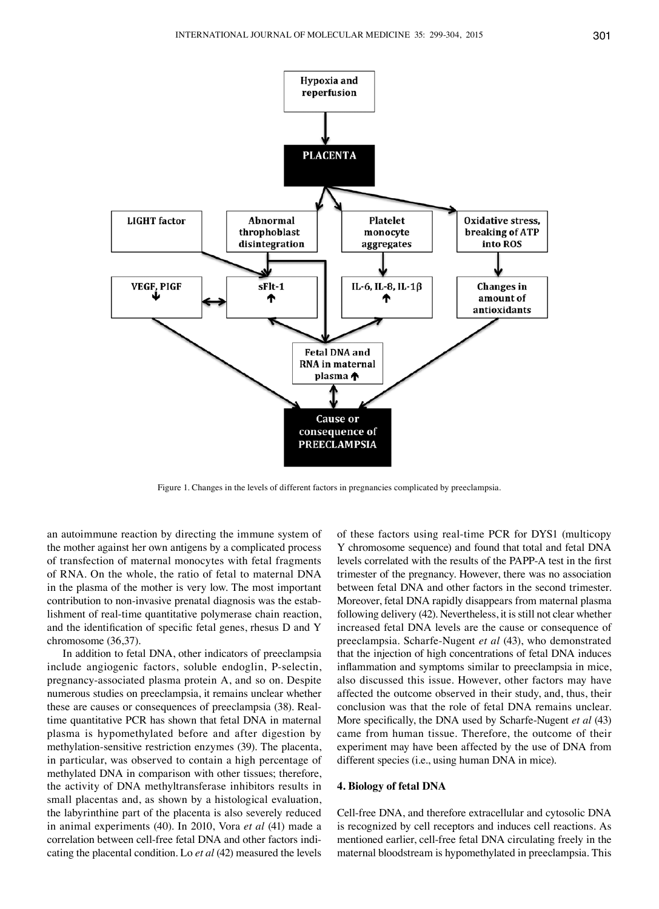Hypoxia and reperfusion





Figure 1. Changes in the levels of different factors in pregnancies complicated by preeclampsia.

an autoimmune reaction by directing the immune system of the mother against her own antigens by a complicated process of transfection of maternal monocytes with fetal fragments of RNA. On the whole, the ratio of fetal to maternal DNA in the plasma of the mother is very low. The most important contribution to non-invasive prenatal diagnosis was the establishment of real-time quantitative polymerase chain reaction, and the identification of specific fetal genes, rhesus D and Y chromosome (36,37).

In addition to fetal DNA, other indicators of preeclampsia include angiogenic factors, soluble endoglin, P-selectin, pregnancy-associated plasma protein A, and so on. Despite numerous studies on preeclampsia, it remains unclear whether these are causes or consequences of preeclampsia (38). Realtime quantitative PCR has shown that fetal DNA in maternal plasma is hypomethylated before and after digestion by methylation-sensitive restriction enzymes (39). The placenta, in particular, was observed to contain a high percentage of methylated DNA in comparison with other tissues; therefore, the activity of DNA methyltransferase inhibitors results in small placentas and, as shown by a histological evaluation, the labyrinthine part of the placenta is also severely reduced in animal experiments (40). In 2010, Vora *et al* (41) made a correlation between cell-free fetal DNA and other factors indicating the placental condition. Lo *et al* (42) measured the levels of these factors using real-time PCR for DYS1 (multicopy Y chromosome sequence) and found that total and fetal DNA levels correlated with the results of the PAPP-A test in the first trimester of the pregnancy. However, there was no association between fetal DNA and other factors in the second trimester. Moreover, fetal DNA rapidly disappears from maternal plasma following delivery (42). Nevertheless, it is still not clear whether increased fetal DNA levels are the cause or consequence of preeclampsia. Scharfe-Nugent *et al* (43), who demonstrated that the injection of high concentrations of fetal DNA induces inflammation and symptoms similar to preeclampsia in mice, also discussed this issue. However, other factors may have affected the outcome observed in their study, and, thus, their conclusion was that the role of fetal DNA remains unclear. More specifically, the DNA used by Scharfe-Nugent *et al* (43) came from human tissue. Therefore, the outcome of their experiment may have been affected by the use of DNA from different species (i.e., using human DNA in mice).

# **4. Biology of fetal DNA**

Cell-free DNA, and therefore extracellular and cytosolic DNA is recognized by cell receptors and induces cell reactions. As mentioned earlier, cell-free fetal DNA circulating freely in the maternal bloodstream is hypomethylated in preeclampsia. This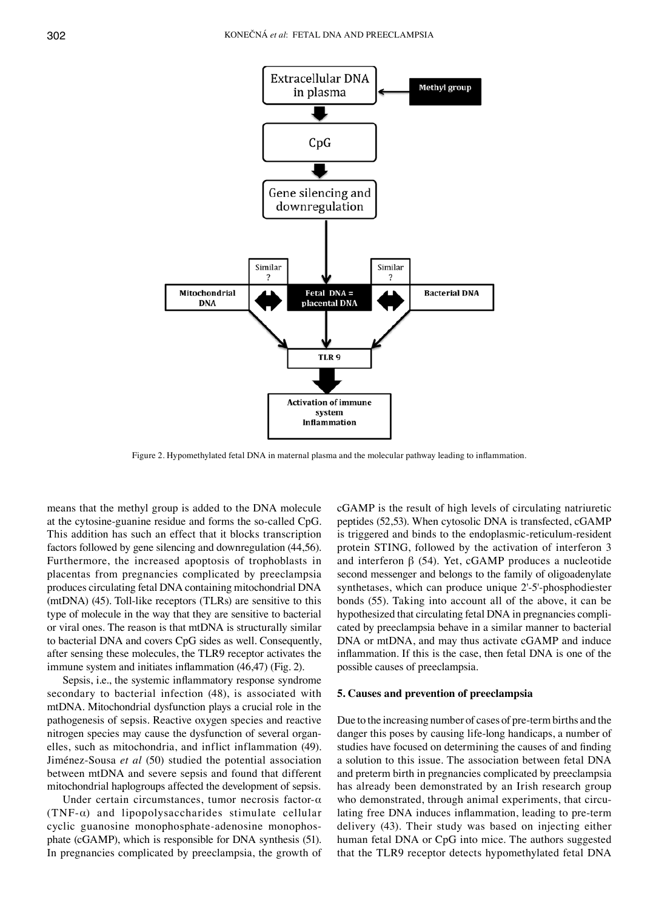

Figure 2. Hypomethylated fetal DNA in maternal plasma and the molecular pathway leading to inflammation.

means that the methyl group is added to the DNA molecule at the cytosine-guanine residue and forms the so-called CpG. This addition has such an effect that it blocks transcription factors followed by gene silencing and downregulation (44,56). Furthermore, the increased apoptosis of trophoblasts in placentas from pregnancies complicated by preeclampsia produces circulating fetal DNA containing mitochondrial DNA (mtDNA) (45). Toll-like receptors (TLRs) are sensitive to this type of molecule in the way that they are sensitive to bacterial or viral ones. The reason is that mtDNA is structurally similar to bacterial DNA and covers CpG sides as well. Consequently, after sensing these molecules, the TLR9 receptor activates the immune system and initiates inflammation (46,47) (Fig. 2).

Sepsis, i.e., the systemic inflammatory response syndrome secondary to bacterial infection (48), is associated with mtDNA. Mitochondrial dysfunction plays a crucial role in the pathogenesis of sepsis. Reactive oxygen species and reactive nitrogen species may cause the dysfunction of several organelles, such as mitochondria, and inflict inflammation (49). Jiménez-Sousa *et al* (50) studied the potential association between mtDNA and severe sepsis and found that different mitochondrial haplogroups affected the development of sepsis.

Under certain circumstances, tumor necrosis factor-α (TNF-α) and lipopolysaccharides stimulate cellular cyclic guanosine monophosphate*-*adenosine monophosphate (cGAMP), which is responsible for DNA synthesis (51). In pregnancies complicated by preeclampsia, the growth of cGAMP is the result of high levels of circulating natriuretic peptides (52,53). When cytosolic DNA is transfected, cGAMP is triggered and binds to the endoplasmic-reticulum-resident protein STING, followed by the activation of interferon 3 and interferon  $β$  (54). Yet, cGAMP produces a nucleotide second messenger and belongs to the family of oligoadenylate synthetases, which can produce unique 2'-5'-phosphodiester bonds (55). Taking into account all of the above, it can be hypothesized that circulating fetal DNA in pregnancies complicated by preeclampsia behave in a similar manner to bacterial DNA or mtDNA, and may thus activate cGAMP and induce inflammation. If this is the case, then fetal DNA is one of the possible causes of preeclampsia.

#### **5. Causes and prevention of preeclampsia**

Due to the increasing number of cases of pre-term births and the danger this poses by causing life-long handicaps, a number of studies have focused on determining the causes of and finding a solution to this issue. The association between fetal DNA and preterm birth in pregnancies complicated by preeclampsia has already been demonstrated by an Irish research group who demonstrated, through animal experiments, that circulating free DNA induces inflammation, leading to pre-term delivery (43). Their study was based on injecting either human fetal DNA or CpG into mice. The authors suggested that the TLR9 receptor detects hypomethylated fetal DNA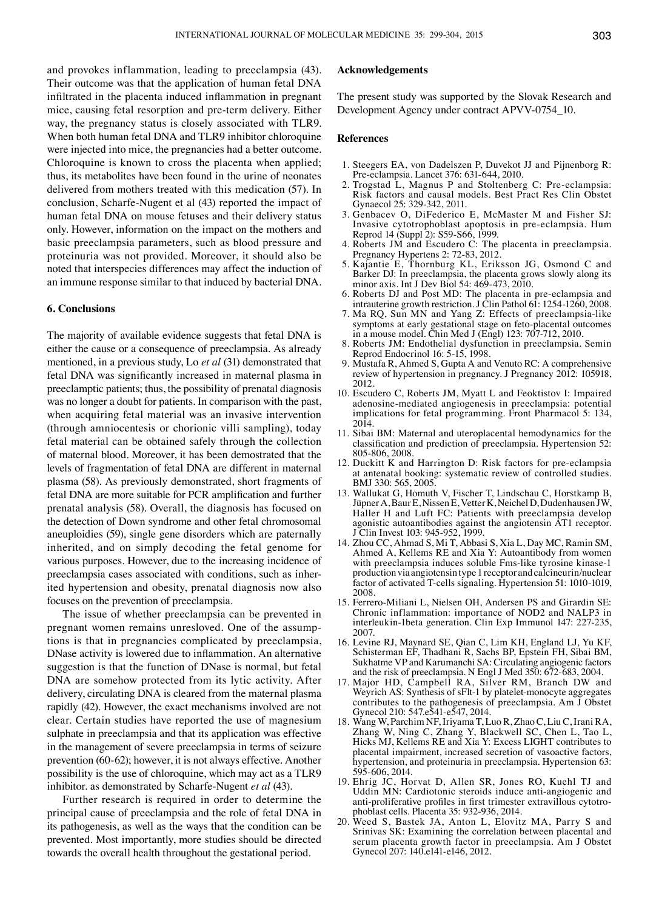and provokes inflammation, leading to preeclampsia (43). Their outcome was that the application of human fetal DNA infiltrated in the placenta induced inflammation in pregnant mice, causing fetal resorption and pre-term delivery. Either way, the pregnancy status is closely associated with TLR9. When both human fetal DNA and TLR9 inhibitor chloroquine were injected into mice, the pregnancies had a better outcome. Chloroquine is known to cross the placenta when applied; thus, its metabolites have been found in the urine of neonates delivered from mothers treated with this medication (57). In conclusion, Scharfe-Nugent et al (43) reported the impact of human fetal DNA on mouse fetuses and their delivery status only. However, information on the impact on the mothers and basic preeclampsia parameters, such as blood pressure and proteinuria was not provided. Moreover, it should also be noted that interspecies differences may affect the induction of an immune response similar to that induced by bacterial DNA.

# **6. Conclusions**

The majority of available evidence suggests that fetal DNA is either the cause or a consequence of preeclampsia. As already mentioned, in a previous study, Lo *et al* (31) demonstrated that fetal DNA was significantly increased in maternal plasma in preeclamptic patients; thus, the possibility of prenatal diagnosis was no longer a doubt for patients. In comparison with the past, when acquiring fetal material was an invasive intervention (through amniocentesis or chorionic villi sampling), today fetal material can be obtained safely through the collection of maternal blood. Moreover, it has been demostrated that the levels of fragmentation of fetal DNA are different in maternal plasma (58). As previously demonstrated, short fragments of fetal DNA are more suitable for PCR amplification and further prenatal analysis (58). Overall, the diagnosis has focused on the detection of Down syndrome and other fetal chromosomal aneuploidies (59), single gene disorders which are paternally inherited, and on simply decoding the fetal genome for various purposes. However, due to the increasing incidence of preeclampsia cases associated with conditions, such as inherited hypertension and obesity, prenatal diagnosis now also focuses on the prevention of preeclampsia.

The issue of whether preeclampsia can be prevented in pregnant women remains unresloved. One of the assumptions is that in pregnancies complicated by preeclampsia, DNase activity is lowered due to inflammation. An alternative suggestion is that the function of DNase is normal, but fetal DNA are somehow protected from its lytic activity. After delivery, circulating DNA is cleared from the maternal plasma rapidly (42). However, the exact mechanisms involved are not clear. Certain studies have reported the use of magnesium sulphate in preeclampsia and that its application was effective in the management of severe preeclampsia in terms of seizure prevention (60-62); however, it is not always effective. Another possibility is the use of chloroquine, which may act as a TLR9 inhibitor. as demonstrated by Scharfe-Nugent *et al* (43)*.*

Further research is required in order to determine the principal cause of preeclampsia and the role of fetal DNA in its pathogenesis, as well as the ways that the condition can be prevented. Most importantly, more studies should be directed towards the overall health throughout the gestational period.

# **Acknowledgements**

The present study was supported by the Slovak Research and Development Agency under contract APVV-0754\_10.

# **References**

- 1. Steegers EA, von Dadelszen P, Duvekot JJ and Pijnenborg R: Pre-eclampsia. Lancet 376: 631-644, 2010.
- 2. Trogstad L, Magnus P and Stoltenberg C: Pre-eclampsia: Risk factors and causal models. Best Pract Res Clin Obstet Gynaecol 25: 329-342, 2011.
- 3. Genbacev O, DiFederico E, McMaster M and Fisher SJ: Invasive cytotrophoblast apoptosis in pre-eclampsia. Hum Reprod 14 (Suppl 2): S59-S66, 1999.
- 4. Roberts JM and Escudero C: The placenta in preeclampsia. Pregnancy Hypertens 2: 72-83, 2012.
- 5. Kajantie E, Thornburg KL, Eriksson JG, Osmond C and Barker DJ: In preeclampsia, the placenta grows slowly along its minor axis. Int J Dev Biol 54: 469-473, 2010.
- 6. Roberts DJ and Post MD: The placenta in pre-eclampsia and intrauterine growth restriction. J Clin Pathol 61: 1254-1260, 2008.
- 7. Ma RQ, Sun MN and Yang Z: Effects of preeclampsia-like symptoms at early gestational stage on feto-placental outcomes in a mouse model. Chin Med J (Engl) 123: 707-712, 2010.
- 8. Roberts JM: Endothelial dysfunction in preeclampsia. Semin Reprod Endocrinol 16: 5-15, 1998.
- 9. Mustafa R, Ahmed S, Gupta A and Venuto RC: A comprehensive review of hypertension in pregnancy. J Pregnancy 2012: 105918, 2012.
- 10. Escudero C, Roberts JM, Myatt L and Feoktistov I: Impaired adenosine-mediated angiogenesis in preeclampsia: potential implications for fetal programming. Front Pharmacol 5: 134, 2014.
- 11. Sibai BM: Maternal and uteroplacental hemodynamics for the classification and prediction of preeclampsia. Hypertension 52: 805-806, 2008.
- 12. Duckitt K and Harrington D: Risk factors for pre-eclampsia at antenatal booking: systematic review of controlled studies. BMJ 330: 565, 2005.
- 13. Wallukat G, Homuth V, Fischer T, Lindschau C, Horstkamp B, Jüpner A, Baur E, Nissen E, Vetter K, Neichel D, Dudenhausen JW, Haller H and Luft FC: Patients with preeclampsia develop agonistic autoantibodies against the angiotensin AT1 receptor. J Clin Invest 103: 945-952, 1999.
- 14. Zhou CC, Ahmad S, Mi T, Abbasi S, Xia L, Day MC, Ramin SM, Ahmed A, Kellems RE and Xia Y: Autoantibody from women with preeclampsia induces soluble Fms-like tyrosine kinase-1 production via angiotensin type 1 receptor and calcineurin/nuclear factor of activated T-cells signaling. Hypertension 51: 1010-1019, 2008.
- 15. Ferrero-Miliani L, Nielsen OH, Andersen PS and Girardin SE: Chronic inflammation: importance of NOD2 and NALP3 in interleukin-1beta generation. Clin Exp Immunol 147: 227-235, 2007.
- 16. Levine RJ, Maynard SE, Qian C, Lim KH, England LJ, Yu KF, Schisterman EF, Thadhani R, Sachs BP, Epstein FH, Sibai BM, Sukhatme VP and Karumanchi SA: Circulating angiogenic factors and the risk of preeclampsia. N Engl J Med 350: 672-683, 2004.
- 17. Major HD, Campbell RA, Silver RM, Branch DW and Weyrich AS: Synthesis of sFlt-1 by platelet-monocyte aggregates contributes to the pathogenesis of preeclampsia. Am J Obstet Gynecol 210: 547.e541-e547, 2014.
- 18. Wang W, Parchim NF, Iriyama T, Luo R, Zhao C, Liu C, Irani RA, Zhang W, Ning C, Zhang Y, Blackwell SC, Chen L, Tao L, Hicks MJ, Kellems RE and Xia Y: Excess LIGHT contributes to placental impairment, increased secretion of vasoactive factors, hypertension, and proteinuria in preeclampsia. Hypertension 63: 595-606, 2014.
- 19. Ehrig JC, Horvat D, Allen SR, Jones RO, Kuehl TJ and Uddin MN: Cardiotonic steroids induce anti-angiogenic and anti-proliferative profiles in first trimester extravillous cytotrophoblast cells. Placenta 35: 932-936, 2014.
- 20. Weed S, Bastek JA, Anton L, Elovitz MA, Parry S and Srinivas SK: Examining the correlation between placental and serum placenta growth factor in preeclampsia. Am J Obstet Gynecol 207: 140.e141-e146, 2012.